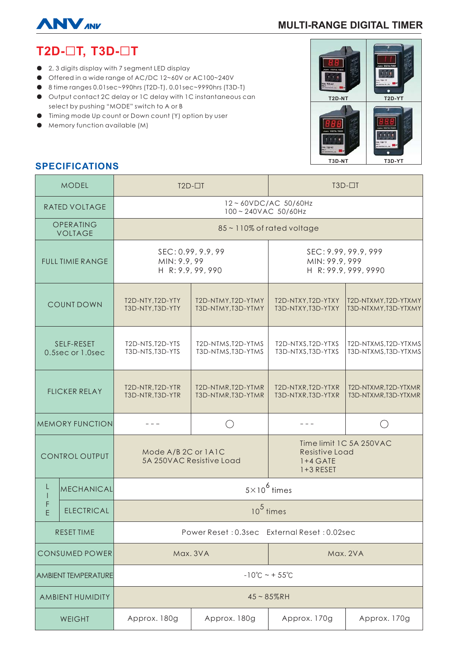

# **MULTI-RANGE DIGITAL TIMER**

# T2D-□T, T3D-□T

- 2, 3 digits display with 7 segment LED display
- Offered in a wide range of AC/DC 12~60V or AC100~240V
- 8 time ranges 0.01sec~990hrs (T2D-T), 0.01sec~9990hrs (T3D-T)
- Output contact 2C delay or 1C delay with 1C instantaneous can select by pushing "MODE" switch to A or B
- Timing mode Up count or Down count (Y) option by user
- Memory function available (M)



# **SPECIFICATIONS**

| <b>MODEL</b>                   |                   | $T2D-T$                                                 |                                          | $T3D-TT$                                                               |                                              |
|--------------------------------|-------------------|---------------------------------------------------------|------------------------------------------|------------------------------------------------------------------------|----------------------------------------------|
| <b>RATED VOLTAGE</b>           |                   | 12~60VDC/AC 50/60Hz<br>100~240VAC 50/60Hz               |                                          |                                                                        |                                              |
| OPERATING<br><b>VOLTAGE</b>    |                   | 85~110% of rated voltage                                |                                          |                                                                        |                                              |
| <b>FULL TIMIE RANGE</b>        |                   | SEC: 0.99, 9.9, 99<br>MIN: 9.9, 99<br>H R: 9.9, 99, 990 |                                          | SEC: 9.99, 99.9, 999<br>MIN: 99.9, 999<br>H R: 99.9, 999, 9990         |                                              |
| <b>COUNT DOWN</b>              |                   | T2D-NTY, T2D-YTY<br>T3D-NTY, T3D-YTY                    | T2D-NTMY, T2D-YTMY<br>T3D-NTMY, T3D-YTMY | T2D-NTXY, T2D-YTXY<br>T3D-NTXY, T3D-YTXY                               | T2D-NTXMY, T2D-YTXMY<br>T3D-NTXMY, T3D-YTXMY |
| SELF-RESET<br>0.5sec or 1.0sec |                   | T2D-NTS, T2D-YTS<br>T3D-NTS, T3D-YTS                    | T2D-NTMS, T2D-YTMS<br>T3D-NTMS, T3D-YTMS | T2D-NTXS, T2D-YTXS<br>T3D-NTXS, T3D-YTXS                               | T2D-NTXMS, T2D-YTXMS<br>T3D-NTXMS, T3D-YTXMS |
| <b>FLICKER RELAY</b>           |                   | T2D-NTR, T2D-YTR<br>T3D-NTR, T3D-YTR                    | T2D-NTMR, T2D-YTMR<br>T3D-NTMR, T3D-YTMR | T2D-NTXR, T2D-YTXR<br>T3D-NTXR, T3D-YTXR                               | T2D-NTXMR, T2D-YTXMR<br>T3D-NTXMR, T3D-YTXMR |
| <b>MEMORY FUNCTION</b>         |                   |                                                         |                                          |                                                                        |                                              |
| <b>CONTROL OUTPUT</b>          |                   | Mode A/B 2C or 1A1C<br>5A 250VAC Resistive Load         |                                          | Time limit 1C 5A 250VAC<br>Resistive Load<br>$1+4$ GATE<br>$1+3$ RESET |                                              |
| L<br>E                         | MECHANICAL        | $5 \times 10^6$ times                                   |                                          |                                                                        |                                              |
|                                | <b>ELECTRICAL</b> | $10^5$ times                                            |                                          |                                                                        |                                              |
| <b>RESET TIME</b>              |                   | Power Reset: 0.3sec External Reset: 0.02sec             |                                          |                                                                        |                                              |
| <b>CONSUMED POWER</b>          |                   | Max. 3VA                                                |                                          | Max. 2VA                                                               |                                              |
| <b>AMBIENT TEMPERATURE</b>     |                   | $-10^{\circ}$ C ~ + 55 $^{\circ}$ C                     |                                          |                                                                        |                                              |
| <b>AMBIENT HUMIDITY</b>        |                   | $45 - 85%$ RH                                           |                                          |                                                                        |                                              |
| <b>WEIGHT</b>                  |                   | Approx. 180g                                            | Approx. 180g                             | Approx. 170g                                                           | Approx. 170g                                 |